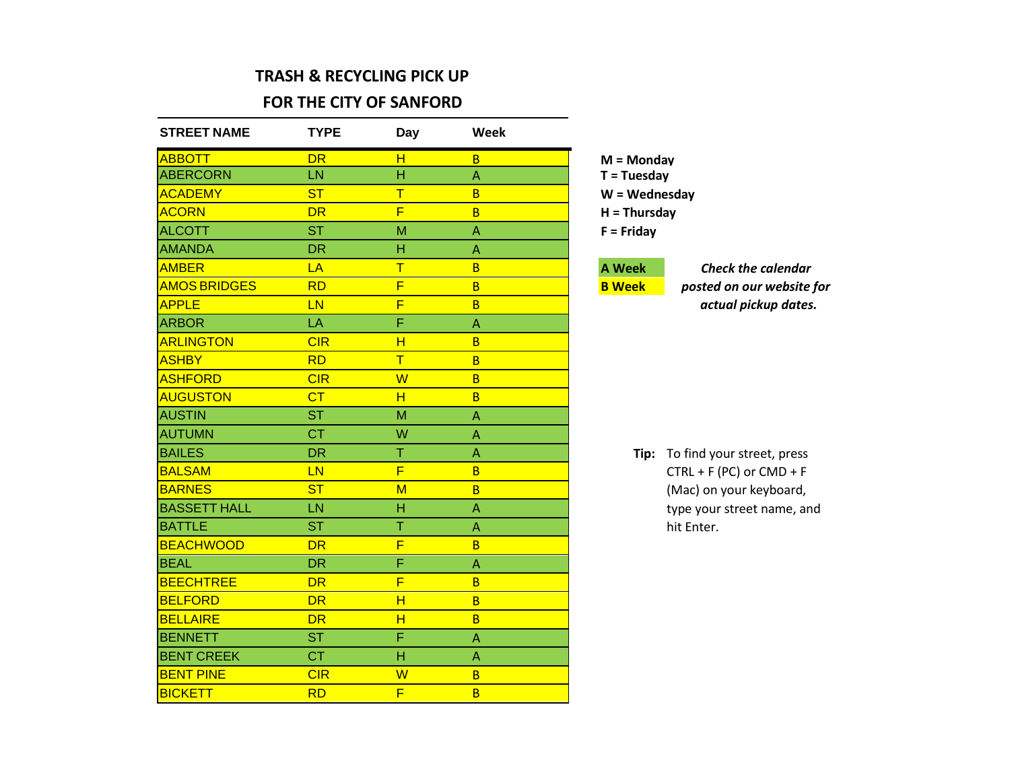#### **TRASH & RECYCLING PICK UP**

#### **FOR THE CITY OF SANFORD**

| <b>STREET NAME</b>  | <b>TYPE</b> | <b>Day</b>              | Week                      |                 |                              |
|---------------------|-------------|-------------------------|---------------------------|-----------------|------------------------------|
| <b>ABBOTT</b>       | <b>DR</b>   | H                       | $\overline{B}$            | $M =$ Mondav    |                              |
| <b>ABERCORN</b>     | LN          | H                       | $\boldsymbol{\mathsf{A}}$ | $T = Tuesday$   |                              |
| <b>ACADEMY</b>      | <b>ST</b>   | $\overline{\mathsf{T}}$ | B                         | $W = Wednesday$ |                              |
| <b>ACORN</b>        | <b>DR</b>   | F                       | B                         | $H = Thursday$  |                              |
| <b>ALCOTT</b>       | <b>ST</b>   | M                       | $\Lambda$                 | $F =$ Friday    |                              |
| <b>AMANDA</b>       | <b>DR</b>   | H                       | A                         |                 |                              |
| <b>AMBER</b>        | LA          | $\overline{\mathsf{T}}$ | B                         | <b>A Week</b>   | <b>Check the calendar</b>    |
| <b>AMOS BRIDGES</b> | <b>RD</b>   | F                       | B                         | <b>B</b> Week   | posted on our website for    |
| <b>APPLE</b>        | <b>LN</b>   | F                       | B                         |                 | actual pickup dates.         |
| <b>ARBOR</b>        | LA          | F                       | $\mathsf A$               |                 |                              |
| <b>ARLINGTON</b>    | CIR         | H                       | B                         |                 |                              |
| <b>ASHBY</b>        | <b>RD</b>   | $\overline{\mathsf{T}}$ | B                         |                 |                              |
| <b>ASHFORD</b>      | CIR         | W                       | B                         |                 |                              |
| <b>AUGUSTON</b>     | CT          | H                       | B                         |                 |                              |
| <b>AUSTIN</b>       | <b>ST</b>   | M                       | $\boldsymbol{\mathsf{A}}$ |                 |                              |
| <b>AUTUMN</b>       | <b>CT</b>   | W                       | $\mathsf A$               |                 |                              |
| <b>BAILES</b>       | <b>DR</b>   | $\top$                  | $\overline{\mathsf{A}}$   | Tip:            | To find your street, press   |
| <b>BALSAM</b>       | LN          | F                       | B                         |                 | $CTRL + F (PC)$ or $CMD + F$ |
| <b>BARNES</b>       | <b>ST</b>   | $M$                     | B                         |                 | (Mac) on your keyboard,      |
| <b>BASSETT HALL</b> | LN          | $\overline{H}$          | $\mathsf A$               |                 | type your street name, and   |
| <b>BATTLE</b>       | <b>ST</b>   | T                       | $\mathsf A$               |                 | hit Enter.                   |
| <b>BEACHWOOD</b>    | <b>DR</b>   | F                       | B                         |                 |                              |
| <b>BEAL</b>         | <b>DR</b>   | F                       | $\boldsymbol{\mathsf{A}}$ |                 |                              |
| <b>BEECHTREE</b>    | <b>DR</b>   | F                       | B                         |                 |                              |
| <b>BELFORD</b>      | <b>DR</b>   | H                       | B                         |                 |                              |
| <b>BELLAIRE</b>     | <b>DR</b>   | H                       | B                         |                 |                              |
| <b>BENNETT</b>      | <b>ST</b>   | F                       | $\boldsymbol{\mathsf{A}}$ |                 |                              |
| <b>BENT CREEK</b>   | <b>CT</b>   | $\overline{H}$          | $\boldsymbol{\mathsf{A}}$ |                 |                              |
| <b>BENT PINE</b>    | CIR         | W                       | $\overline{B}$            |                 |                              |
| <b>BICKETT</b>      | <b>RD</b>   | F                       | B                         |                 |                              |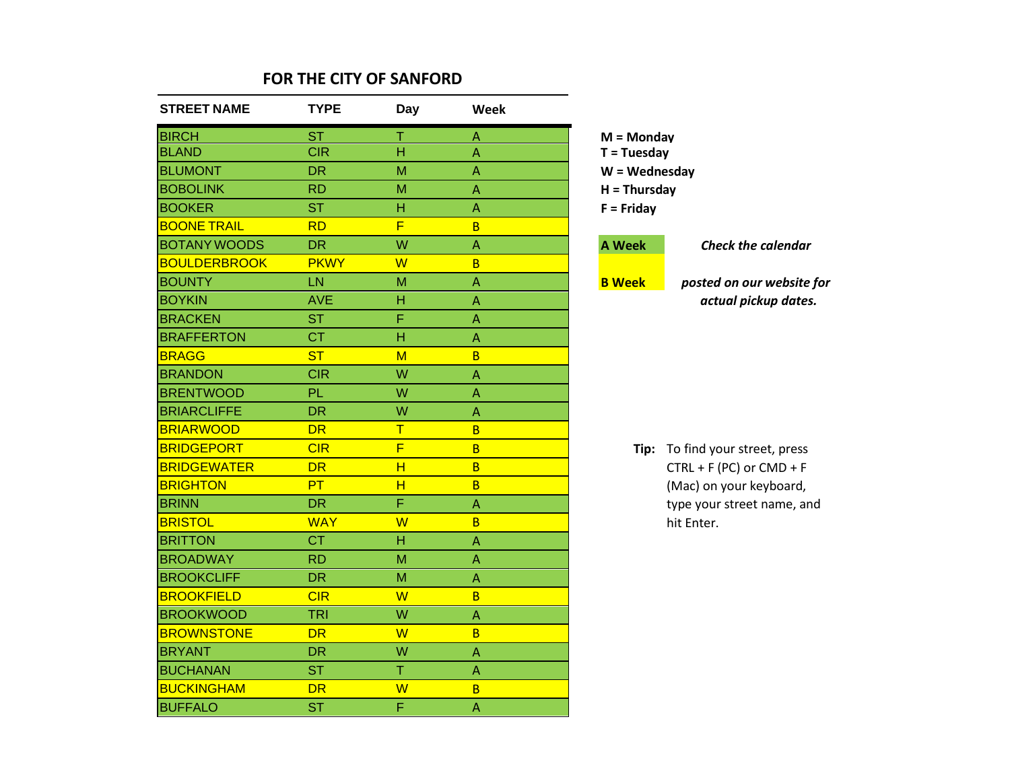| <b>STREET NAME</b>  | <b>TYPE</b> | <b>Day</b>              | Week                      |                 |                              |
|---------------------|-------------|-------------------------|---------------------------|-----------------|------------------------------|
| <b>BIRCH</b>        | <b>ST</b>   | Τ                       | $\mathsf{A}$              | $M =$ Monday    |                              |
| <b>BLAND</b>        | <b>CIR</b>  | Ĥ                       | $\Lambda$                 | $T = Tuesday$   |                              |
| <b>BLUMONT</b>      | <b>DR</b>   | M                       | $\Lambda$                 | $W = Wednesday$ |                              |
| <b>BOBOLINK</b>     | <b>RD</b>   | M                       | $\Lambda$                 | $H = Thursday$  |                              |
| <b>BOOKER</b>       | <b>ST</b>   | H                       | $\overline{A}$            | $F =$ Friday    |                              |
| <b>BOONE TRAIL</b>  | <b>RD</b>   | F                       | B                         |                 |                              |
| <b>BOTANY WOODS</b> | <b>DR</b>   | W                       | $\Lambda$                 | <b>A Week</b>   | <b>Check the calendar</b>    |
| <b>BOULDERBROOK</b> | <b>PKWY</b> | W                       | B                         |                 |                              |
| <b>BOUNTY</b>       | LN          | M                       | $\boldsymbol{\mathsf{A}}$ | <b>B</b> Week   | posted on our website for    |
| <b>BOYKIN</b>       | <b>AVE</b>  | Н                       | $\overline{A}$            |                 | actual pickup dates.         |
| <b>BRACKEN</b>      | <b>ST</b>   | F                       | $\overline{A}$            |                 |                              |
| <b>BRAFFERTON</b>   | <b>CT</b>   | H                       | $\Lambda$                 |                 |                              |
| <b>BRAGG</b>        | <b>ST</b>   | $M$                     | B                         |                 |                              |
| <b>BRANDON</b>      | <b>CIR</b>  | W                       | $\mathsf{A}$              |                 |                              |
| <b>BRENTWOOD</b>    | PL          | W                       | $\Lambda$                 |                 |                              |
| <b>BRIARCLIFFE</b>  | <b>DR</b>   | W                       | $\overline{\mathsf{A}}$   |                 |                              |
| <b>BRIARWOOD</b>    | <b>DR</b>   | T                       | $\overline{B}$            |                 |                              |
| <b>BRIDGEPORT</b>   | CIR         | $\overline{\mathsf{F}}$ | $\overline{B}$            | Tip:            | To find your street, press   |
| <b>BRIDGEWATER</b>  | <b>DR</b>   | H                       | $\overline{B}$            |                 | $CTRL + F (PC)$ or $CMD + F$ |
| <b>BRIGHTON</b>     | PT          | H                       | $\overline{B}$            |                 | (Mac) on your keyboard,      |
| <b>BRINN</b>        | <b>DR</b>   | F                       | $\boldsymbol{\mathsf{A}}$ |                 | type your street name, and   |
| <b>BRISTOL</b>      | <b>WAY</b>  | W                       | $\overline{B}$            |                 | hit Enter.                   |
| <b>BRITTON</b>      | <b>CT</b>   | H                       | A                         |                 |                              |
| <b>BROADWAY</b>     | <b>RD</b>   | M                       | $\overline{A}$            |                 |                              |
| <b>BROOKCLIFF</b>   | <b>DR</b>   | M                       | $\overline{A}$            |                 |                              |
| <b>BROOKFIELD</b>   | CIR         | W                       | $\overline{B}$            |                 |                              |
| <b>BROOKWOOD</b>    | <b>TRI</b>  | W                       | $\overline{A}$            |                 |                              |
| <b>BROWNSTONE</b>   | <b>DR</b>   | W                       | B                         |                 |                              |
| <b>BRYANT</b>       | <b>DR</b>   | W                       | $\overline{A}$            |                 |                              |
| <b>BUCHANAN</b>     | <b>ST</b>   | T                       | $\overline{A}$            |                 |                              |
| <b>BUCKINGHAM</b>   | <b>DR</b>   | W                       | $\overline{B}$            |                 |                              |
| <b>BUFFALO</b>      | <b>ST</b>   | F                       | $\mathsf A$               |                 |                              |

| $ V  =  V $<br>T = Tuesday |                           |
|----------------------------|---------------------------|
| $W = Wednesday$            |                           |
| $H = Thursday$             |                           |
| $F =$ Friday               |                           |
| <b>A Week</b>              | <b>Check the calendar</b> |
| <b>B</b> Week              | posted on our website for |
|                            | actual pickup dates.      |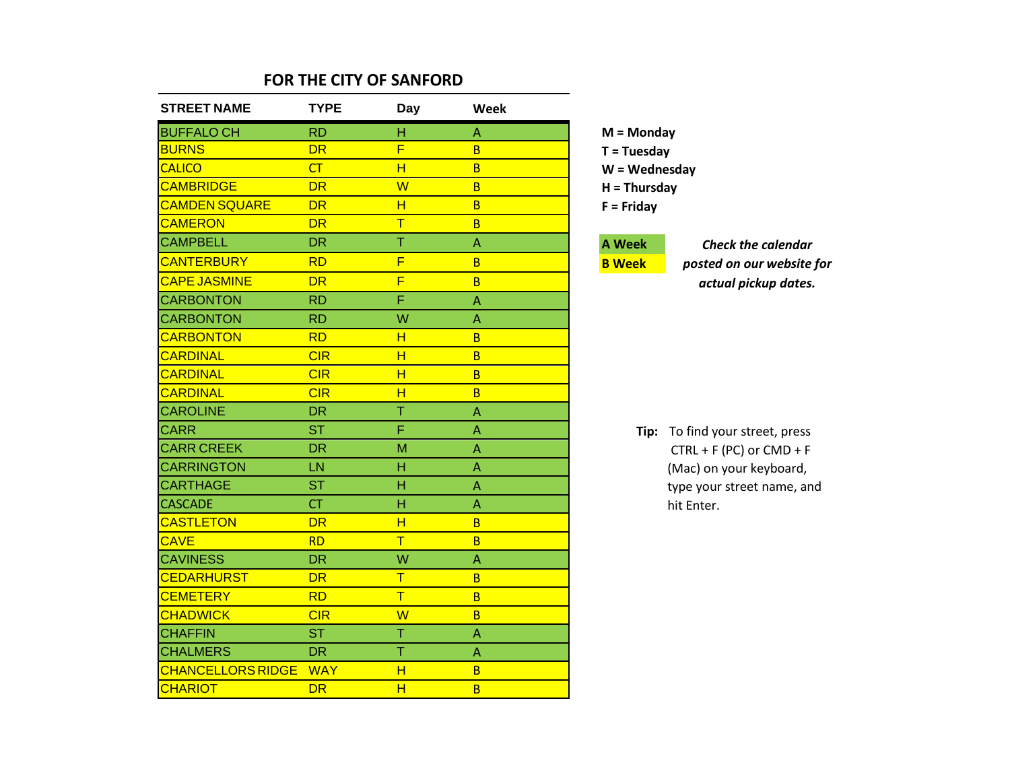| <b>STREET NAME</b>       | <b>TYPE</b> | <b>Day</b>              | Week |
|--------------------------|-------------|-------------------------|------|
| <b>BUFFALO CH</b>        | <b>RD</b>   | н                       | Α    |
| <b>BURNS</b>             | <b>DR</b>   | F                       | B    |
| <b>CALICO</b>            | CT          | H                       | B    |
| <b>CAMBRIDGE</b>         | <b>DR</b>   | $\overline{\mathsf{W}}$ | B    |
| <b>CAMDEN SQUARE</b>     | <b>DR</b>   | н                       | B    |
| <b>CAMERON</b>           | <b>DR</b>   | $\overline{\mathsf{T}}$ | B    |
| <b>CAMPBELL</b>          | <b>DR</b>   | T                       | Α    |
| <b>CANTERBURY</b>        | <b>RD</b>   | F                       | B    |
| <b>CAPE JASMINE</b>      | <b>DR</b>   | F                       | B    |
| <b>CARBONTON</b>         | <b>RD</b>   | F                       | A    |
| <b>CARBONTON</b>         | <b>RD</b>   | W                       | Α    |
| <b>CARBONTON</b>         | <b>RD</b>   | H                       | B    |
| <b>CARDINAL</b>          | CIR         | н                       | B    |
| <b>CARDINAL</b>          | CIR         | н                       | B    |
| <b>CARDINAL</b>          | CIR         | $\overline{\mathsf{H}}$ | B    |
| <b>CAROLINE</b>          | <b>DR</b>   | Ť                       | A    |
| <b>CARR</b>              | <b>ST</b>   | F                       | A    |
| <b>CARR CREEK</b>        | <b>DR</b>   | M                       | Α    |
| <b>CARRINGTON</b>        | LN          | Н                       | Α    |
| <b>CARTHAGE</b>          | <b>ST</b>   | Н                       | A    |
| <b>CASCADE</b>           | <b>CT</b>   | H                       | A    |
| <b>CASTLETON</b>         | <b>DR</b>   | H                       | B    |
| <b>CAVE</b>              | <b>RD</b>   | T                       | B    |
| <b>CAVINESS</b>          | <b>DR</b>   | W                       | Α    |
| <b>CEDARHURST</b>        | <b>DR</b>   | T                       | B    |
| <b>CEMETERY</b>          | <b>RD</b>   | $\overline{\mathsf{T}}$ | B    |
| <b>CHADWICK</b>          | CIR         | W                       | B    |
| <b>CHAFFIN</b>           | <b>ST</b>   | T                       | Α    |
| <b>CHALMERS</b>          | <b>DR</b>   | T                       | A    |
| <b>CHANCELLORS RIDGE</b> | <b>WAY</b>  | H                       | B    |
| <b>CHARIOT</b>           | <b>DR</b>   | H                       | B    |

**M = Monday T = Tuesday W = Wednesday H = Thursday F = Friday**

### **A Week**

**B Week**

*Check the calendar posted on our website for actual pickup dates.*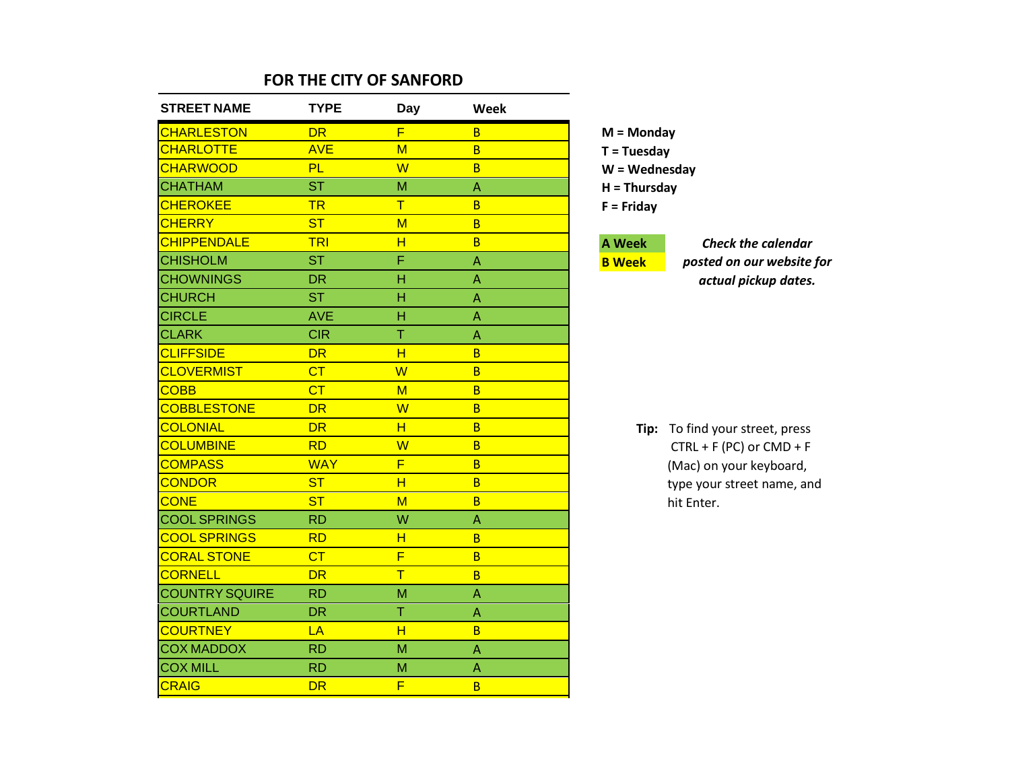| <b>STREET NAME</b>    | <b>TYPE</b> | Day                     | Week |
|-----------------------|-------------|-------------------------|------|
| <b>CHARLESTON</b>     | <b>DR</b>   | F                       | B    |
| <b>CHARLOTTE</b>      | <b>AVE</b>  | M                       | B    |
| <b>CHARWOOD</b>       | <b>PL</b>   | W                       | B    |
| <b>CHATHAM</b>        | <b>ST</b>   | M                       | A    |
| <b>CHEROKEE</b>       | <b>TR</b>   | T                       | B    |
| <b>CHERRY</b>         | <b>ST</b>   | M                       | B    |
| <b>CHIPPENDALE</b>    | <b>TRI</b>  | H                       | B    |
| <b>CHISHOLM</b>       | <b>ST</b>   | F                       | A    |
| <b>CHOWNINGS</b>      | <b>DR</b>   | Н                       | Α    |
| <b>CHURCH</b>         | <b>ST</b>   | H                       | Α    |
| <b>CIRCLE</b>         | <b>AVE</b>  | Н                       | A    |
| <b>CLARK</b>          | <b>CIR</b>  | T                       | A    |
| <b>CLIFFSIDE</b>      | <b>DR</b>   | н                       | B    |
| <b>CLOVERMIST</b>     | CT          | $\overline{W}$          | B    |
| <b>COBB</b>           | CT          | M                       | B    |
| <b>COBBLESTONE</b>    | <b>DR</b>   | W                       | B    |
| <b>COLONIAL</b>       | <b>DR</b>   | н                       | B    |
| <b>COLUMBINE</b>      | <b>RD</b>   | W                       | B    |
| <b>COMPASS</b>        | <b>WAY</b>  | F                       | B    |
| <b>CONDOR</b>         | <b>ST</b>   | $\overline{\mathsf{H}}$ | B    |
| <b>CONE</b>           | <b>ST</b>   | M                       | B    |
| <b>COOL SPRINGS</b>   | <b>RD</b>   | W                       | A    |
| <b>COOL SPRINGS</b>   | <b>RD</b>   | н                       | B    |
| <b>CORAL STONE</b>    | CT          | F                       | B    |
| <b>CORNELL</b>        | <b>DR</b>   | $\overline{\mathsf{T}}$ | B    |
| <b>COUNTRY SQUIRE</b> | <b>RD</b>   | M                       | A    |
| <b>COURTLAND</b>      | <b>DR</b>   | T                       | A    |
| <b>COURTNEY</b>       | LA          | н                       | B    |
| <b>COX MADDOX</b>     | <b>RD</b>   | M                       | A    |
| <b>COX MILL</b>       | <b>RD</b>   | M                       | A    |
| <b>CRAIG</b>          | <b>DR</b>   | F                       | B    |

**M = Monday T = Tuesday W = Wednesday H = Thursday F = Friday**

### **A Week**

**B Week**

*Check the calendar posted on our website for actual pickup dates.*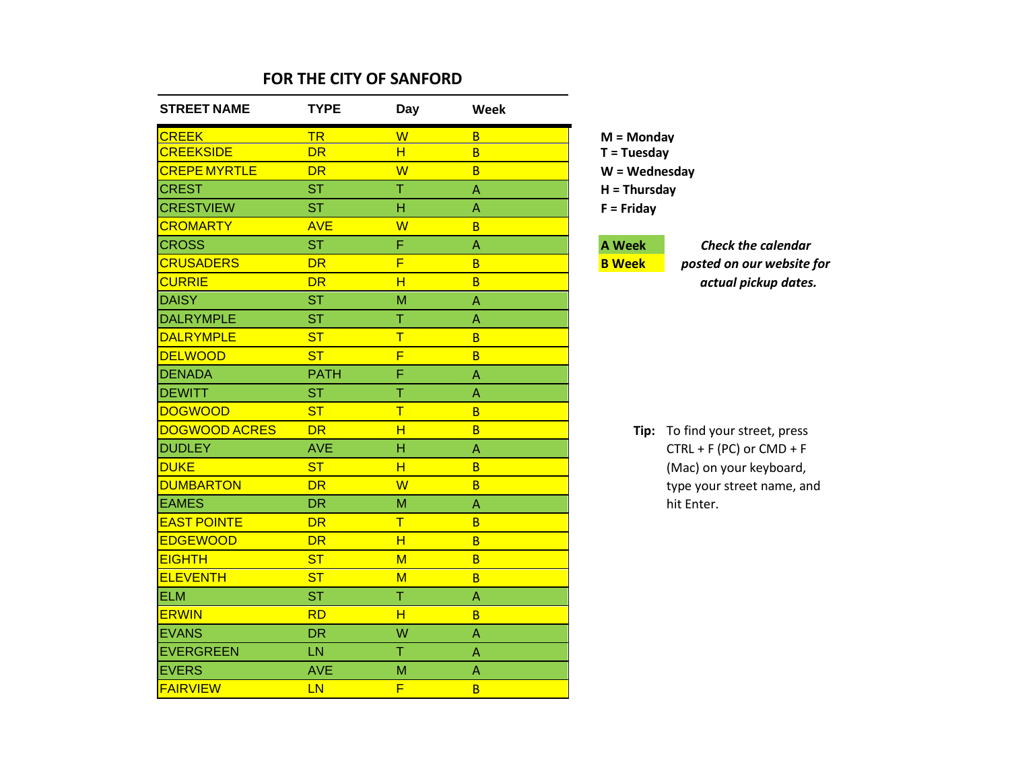| <b>STREET NAME</b>   | <b>TYPE</b> | <b>Day</b>              | Week |                 |               |
|----------------------|-------------|-------------------------|------|-----------------|---------------|
| <b>CREEK</b>         | <b>TR</b>   | W                       | B    | $M =$ Monday    |               |
| <b>CREEKSIDE</b>     | <b>DR</b>   | H                       | B    | $T = Tuesday$   |               |
| <b>CREPE MYRTLE</b>  | <b>DR</b>   | $\overline{W}$          | B    | $W = Wednesday$ |               |
| <b>CREST</b>         | <b>ST</b>   | T                       | A    | $H = Thursday$  |               |
| <b>CRESTVIEW</b>     | <b>ST</b>   | Н                       | A    | $F =$ Friday    |               |
| <b>CROMARTY</b>      | <b>AVE</b>  | W                       | B    |                 |               |
| <b>CROSS</b>         | <b>ST</b>   | F                       | A    | <b>A</b> Week   | Che           |
| <b>CRUSADERS</b>     | <b>DR</b>   | F                       | B    | <b>B</b> Week   | posted        |
| <b>CURRIE</b>        | <b>DR</b>   | H                       | B    |                 | actu          |
| <b>DAISY</b>         | <b>ST</b>   | M                       | A    |                 |               |
| <b>DALRYMPLE</b>     | <b>ST</b>   | Ť                       | A    |                 |               |
| <b>DALRYMPLE</b>     | <b>ST</b>   | $\overline{\mathsf{T}}$ | B    |                 |               |
| <b>DELWOOD</b>       | <b>ST</b>   | F                       | B    |                 |               |
| <b>DENADA</b>        | <b>PATH</b> | F                       | A    |                 |               |
| <b>DEWITT</b>        | <b>ST</b>   | Ť                       | A    |                 |               |
| <b>DOGWOOD</b>       | <b>ST</b>   | T                       | B    |                 |               |
| <b>DOGWOOD ACRES</b> | <b>DR</b>   | H                       | B    | Tip:            | To find yor   |
| <b>DUDLEY</b>        | <b>AVE</b>  | H                       | A    |                 | $CTRL + F$ (F |
| <b>DUKE</b>          | <b>ST</b>   | H                       | B    |                 | (Mac) on y    |
| <b>DUMBARTON</b>     | <b>DR</b>   | W                       | B    |                 | type your     |
| <b>EAMES</b>         | <b>DR</b>   | M                       | A    |                 | hit Enter.    |
| <b>EAST POINTE</b>   | <b>DR</b>   | T                       | B    |                 |               |
| <b>EDGEWOOD</b>      | <b>DR</b>   | H                       | B    |                 |               |
| <b>EIGHTH</b>        | <b>ST</b>   | $M$                     | B    |                 |               |
| <b>ELEVENTH</b>      | <b>ST</b>   | $M$                     | B    |                 |               |
| <b>ELM</b>           | <b>ST</b>   | T                       | A    |                 |               |
| <b>ERWIN</b>         | <b>RD</b>   | H                       | B    |                 |               |
| <b>EVANS</b>         | <b>DR</b>   | W                       | A    |                 |               |
| <b>EVERGREEN</b>     | LN          | $\overline{\top}$       | A    |                 |               |
| <b>EVERS</b>         | <b>AVE</b>  | M                       | Α    |                 |               |
| <b>FAIRVIEW</b>      | LN          | F                       | B    |                 |               |

CROSS ST F A **A Week** *Check the calendar*  $on$  *our* website for CURRIE DR H B *actual pickup dates.*

our street, press  $PC$ ) or  $CMD + F$ your keyboard, street name, and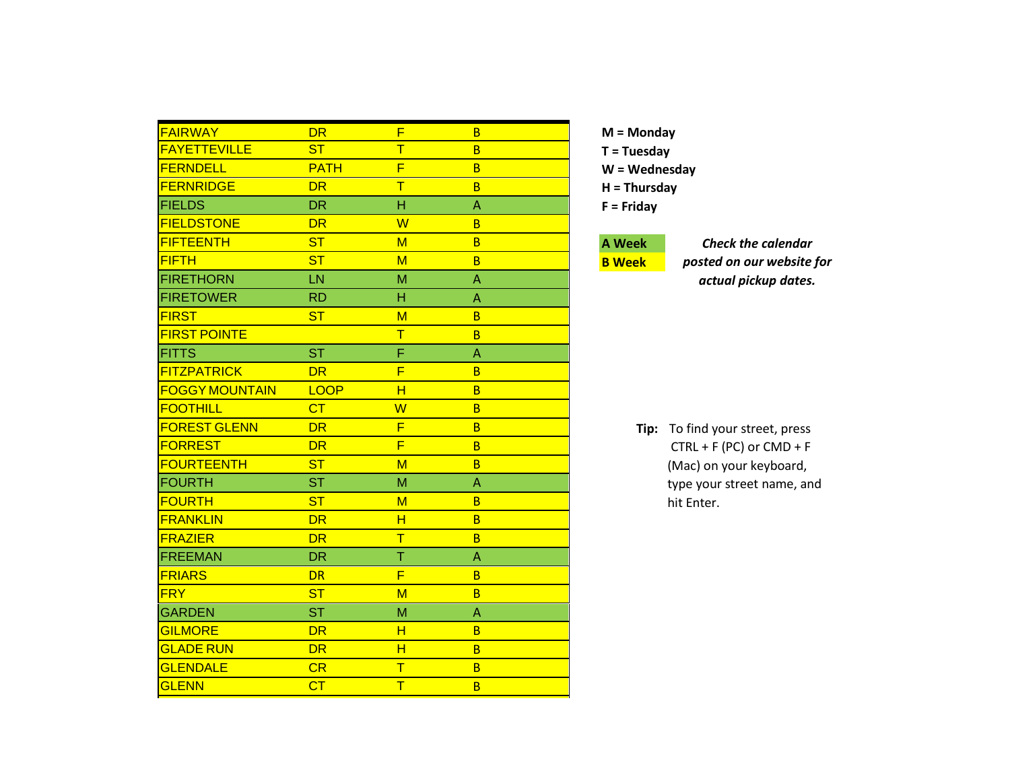| <b>FAIRWAY</b>        | <b>DR</b>      | F                       | B            |
|-----------------------|----------------|-------------------------|--------------|
| <b>FAYETTEVILLE</b>   | <b>ST</b>      | $\overline{\mathsf{T}}$ | B.           |
| <b>FERNDELL</b>       | <b>PATH</b>    | F                       | B            |
| <b>FERNRIDGE</b>      | <b>DR</b>      | T                       | B.           |
| <b>FIELDS</b>         | <b>DR</b>      | н                       | A            |
| <b>FIELDSTONE</b>     | <b>DR</b>      | W                       | <sub>B</sub> |
| <b>FIFTEENTH</b>      | <b>ST</b>      | M                       | B.           |
| <b>FIFTH</b>          | <b>ST</b>      | M                       | B.           |
| <b>FIRETHORN</b>      | LN             | M                       | A            |
| <b>FIRETOWER</b>      | <b>RD</b>      | н                       | A            |
| <b>FIRST</b>          | <b>ST</b>      | M                       | B.           |
| <b>FIRST POINTE</b>   |                | T                       | B            |
| <b>FITTS</b>          | <b>ST</b>      | F                       | A            |
| <b>FITZPATRICK</b>    | <b>DR</b>      | F                       | B            |
| <b>FOGGY MOUNTAIN</b> | <b>LOOP</b>    | H                       | B            |
| <b>FOOTHILL</b>       | CT             | W                       | B            |
| <b>FOREST GLENN</b>   | <b>DR</b>      | F                       | B            |
| <b>FORREST</b>        | <b>DR</b>      | F                       | <sub>B</sub> |
| <b>FOURTEENTH</b>     | <b>ST</b>      | M                       | <sub>B</sub> |
| <b>FOURTH</b>         | <b>ST</b>      | M                       | Α            |
| <b>FOURTH</b>         | <b>ST</b>      | M                       | <b>B</b>     |
| <b>FRANKLIN</b>       | <b>DR</b>      | н                       | B            |
| <b>FRAZIER</b>        | <b>DR</b>      | T                       | B            |
| <b>FREEMAN</b>        | <b>DR</b>      | Ť                       | A            |
| <b>FRIARS</b>         | <b>DR</b>      | F                       | B.           |
| <b>FRY</b>            | <b>ST</b>      | M                       | B            |
| <b>GARDEN</b>         | <b>ST</b>      | M                       | Α            |
| <b>GILMORE</b>        | <b>DR</b>      | н                       | B.           |
| <b>GLADE RUN</b>      | <b>DR</b>      | H                       | B            |
| <b>GLENDALE</b>       | CR             | T                       | B            |
| <b>GLENN</b>          | C <sub>T</sub> | $\overline{T}$          | B            |

## **A Week**

**B Week**

*Check the calendar posted on our website for actual pickup dates.*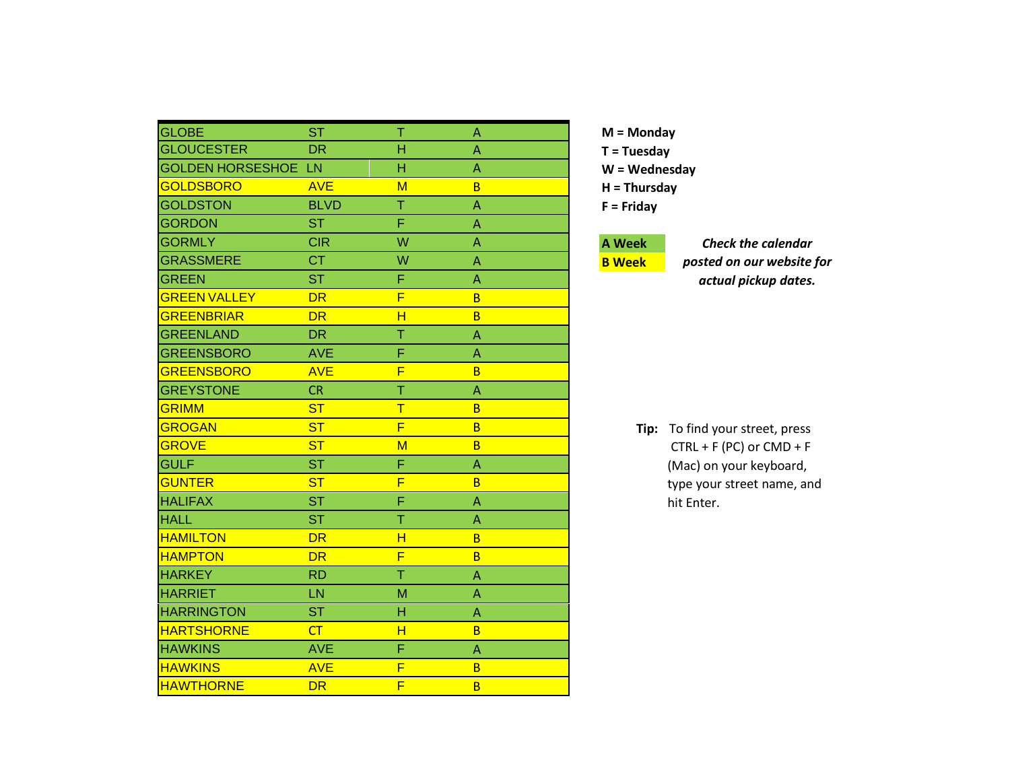| <b>GLOBE</b>            | <b>ST</b>      | т                       | A            |
|-------------------------|----------------|-------------------------|--------------|
| <b>GLOUCESTER</b>       | <b>DR</b>      | н                       | A            |
| <b>GOLDEN HORSESHOE</b> | <b>LN</b>      | н                       | A            |
| <b>GOLDSBORO</b>        | <b>AVE</b>     | $M$                     | B            |
| <b>GOLDSTON</b>         | <b>BLVD</b>    | T                       | A            |
| <b>GORDON</b>           | <b>ST</b>      | F                       | A            |
| <b>GORMLY</b>           | <b>CIR</b>     | W                       | A            |
| <b>GRASSMERE</b>        | <b>CT</b>      | W                       | A            |
| <b>GREEN</b>            | <b>ST</b>      | F                       | Α            |
| <b>GREEN VALLEY</b>     | <b>DR</b>      | F                       | B            |
| <b>GREENBRIAR</b>       | <b>DR</b>      | H                       | B            |
| <b>GREENLAND</b>        | <b>DR</b>      | Ť                       | A            |
| <b>GREENSBORO</b>       | <b>AVE</b>     | F                       | Α            |
| <b>GREENSBORO</b>       | <b>AVE</b>     | F                       | B            |
| <b>GREYSTONE</b>        | <b>CR</b>      | Ť                       | Α            |
| <b>GRIMM</b>            | <b>ST</b>      | $\mathsf T$             | <sub>B</sub> |
| <b>GROGAN</b>           | <b>ST</b>      | F                       | B            |
| <b>GROVE</b>            | <b>ST</b>      | $M$                     | <sub>B</sub> |
| <b>GULF</b>             | <b>ST</b>      | Ë                       | Α            |
| <b>GUNTER</b>           | S <sub>T</sub> | F                       | B            |
| <b>HALIFAX</b>          | <b>ST</b>      | F                       | A            |
| <b>HALL</b>             | <b>ST</b>      | Ť                       | A            |
| <b>HAMILTON</b>         | <b>DR</b>      | $\overline{\mathsf{H}}$ | B            |
| <b>HAMPTON</b>          | <b>DR</b>      | F                       | B            |
| <b>HARKEY</b>           | <b>RD</b>      | T                       | Α            |
| <b>HARRIET</b>          | LN             | M                       | Α            |
| <b>HARRINGTON</b>       | <b>ST</b>      | Н                       | Α            |
| <b>HARTSHORNE</b>       | CT             | H                       | B            |
| <b>HAWKINS</b>          | <b>AVE</b>     | F                       | Α            |
| <b>HAWKINS</b>          | <b>AVE</b>     | F                       | B            |
| <b>HAWTHORNE</b>        | <b>DR</b>      | F                       | B            |

## **A Week**

**B Week**

*Check the calendar posted on our website for actual pickup dates.*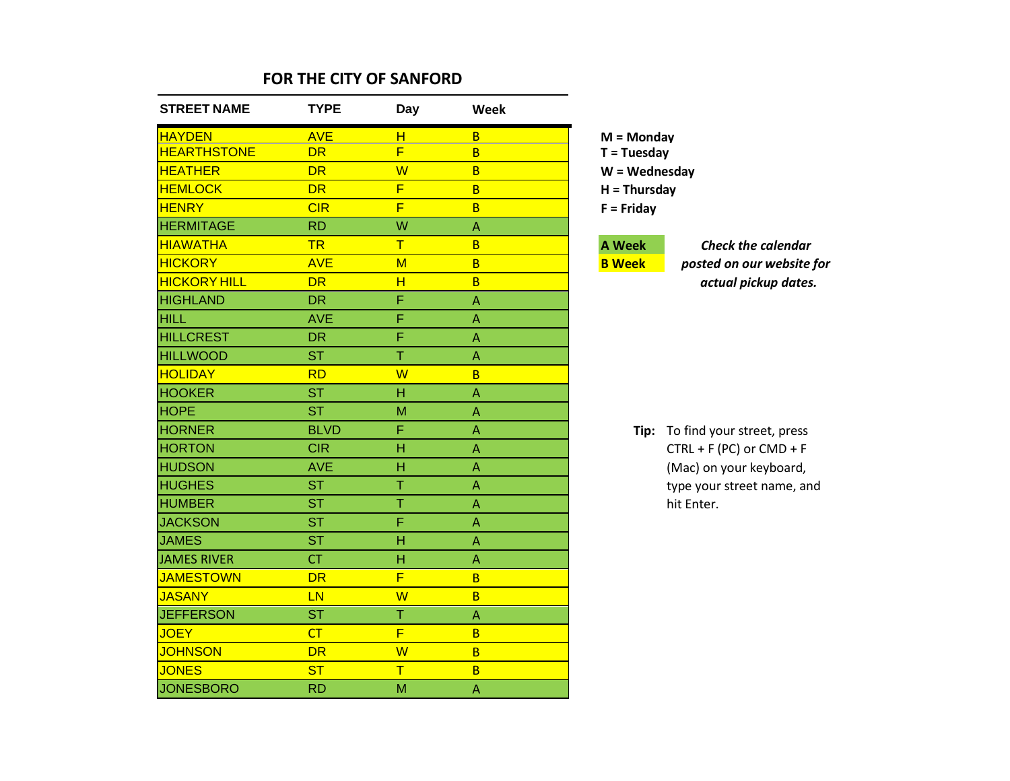| <b>STREET NAME</b>  | <b>TYPE</b> | <b>Day</b>              | Week                            |                 |                                 |
|---------------------|-------------|-------------------------|---------------------------------|-----------------|---------------------------------|
| <b>HAYDEN</b>       | <b>AVE</b>  | H                       | $\overline{B}$                  | $M =$ Monday    |                                 |
| <b>HEARTHSTONE</b>  | <b>DR</b>   | $\overline{\mathsf{F}}$ | B                               | $T = Tuesday$   |                                 |
| <b>HEATHER</b>      | <b>DR</b>   | W                       | B                               | $W = Wednesday$ |                                 |
| <b>HEMLOCK</b>      | <b>DR</b>   | F                       | B                               | $H = Thursday$  |                                 |
| <b>HENRY</b>        | CIR         | $\overline{F}$          | B                               | $F =$ Friday    |                                 |
| <b>HERMITAGE</b>    | <b>RD</b>   | W                       | A                               |                 |                                 |
| <b>HIAWATHA</b>     | <b>TR</b>   | $\mathsf T$             | B                               | <b>A</b> Week   | <b>Check the calendar</b>       |
| <b>HICKORY</b>      | <b>AVE</b>  | M                       | $\overline{B}$                  | <b>B</b> Week   | posted on our website for       |
| <b>HICKORY HILL</b> | <b>DR</b>   | H                       | B                               |                 | actual pickup dates.            |
| <b>HIGHLAND</b>     | <b>DR</b>   | F                       | A                               |                 |                                 |
| <b>HILL</b>         | <b>AVE</b>  | F                       | $\boldsymbol{\mathsf{\Lambda}}$ |                 |                                 |
| <b>HILLCREST</b>    | <b>DR</b>   | F                       | A                               |                 |                                 |
| <b>HILLWOOD</b>     | <b>ST</b>   | $\top$                  | $\overline{\mathsf{A}}$         |                 |                                 |
| <b>HOLIDAY</b>      | <b>RD</b>   | W                       | B                               |                 |                                 |
| <b>HOOKER</b>       | <b>ST</b>   | H                       | A                               |                 |                                 |
| <b>HOPE</b>         | <b>ST</b>   | M                       | $\overline{\mathsf{A}}$         |                 |                                 |
| <b>HORNER</b>       | <b>BLVD</b> | F                       | A                               |                 | Tip: To find your street, press |
| <b>HORTON</b>       | <b>CIR</b>  | H                       | $\overline{\mathsf{A}}$         |                 | $CTRL + F (PC)$ or $CMD + F$    |
| <b>HUDSON</b>       | <b>AVE</b>  | н                       | A                               |                 | (Mac) on your keyboard,         |
| <b>HUGHES</b>       | <b>ST</b>   | $\overline{\mathsf{T}}$ | A                               |                 | type your street name, and      |
| <b>HUMBER</b>       | <b>ST</b>   | $\overline{\mathsf{T}}$ | $\overline{\mathsf{A}}$         |                 | hit Enter.                      |
| <b>JACKSON</b>      | <b>ST</b>   | F                       | $\overline{\mathsf{A}}$         |                 |                                 |
| <b>JAMES</b>        | <b>ST</b>   | H                       | $\boldsymbol{\mathsf{\Lambda}}$ |                 |                                 |
| JAMES RIVER         | <b>CT</b>   | H                       | $\boldsymbol{\mathsf{\Lambda}}$ |                 |                                 |
| <b>JAMESTOWN</b>    | <b>DR</b>   | F                       | B                               |                 |                                 |
| <b>JASANY</b>       | <b>LN</b>   | W                       | B                               |                 |                                 |
| <b>JEFFERSON</b>    | <b>ST</b>   | T                       | A                               |                 |                                 |
| <b>JOEY</b>         | CT          | F                       | B                               |                 |                                 |
| <b>JOHNSON</b>      | <b>DR</b>   | W                       | B                               |                 |                                 |
| <b>JONES</b>        | <b>ST</b>   | $\mathsf T$             | $\overline{B}$                  |                 |                                 |
| <b>JONESBORO</b>    | <b>RD</b>   | M                       | $\boldsymbol{\mathsf{\Lambda}}$ |                 |                                 |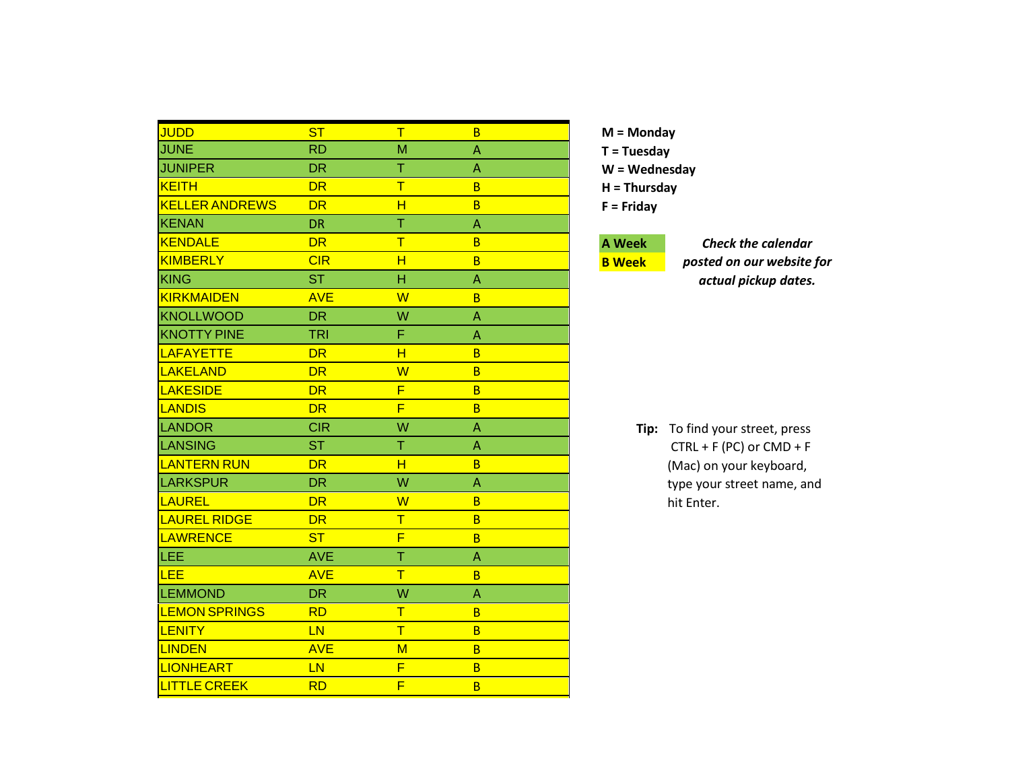| <b>JUDD</b>           | <b>ST</b>  | $\top$                  | B              |  |
|-----------------------|------------|-------------------------|----------------|--|
| <b>JUNE</b>           | <b>RD</b>  | M                       | Α              |  |
| <b>JUNIPER</b>        | <b>DR</b>  | Τ                       | Α              |  |
| <b>KEITH</b>          | <b>DR</b>  | $\overline{\mathsf{T}}$ | B <sub>1</sub> |  |
| <b>KELLER ANDREWS</b> | <b>DR</b>  | $\overline{\mathsf{H}}$ | B.             |  |
| <b>KENAN</b>          | <b>DR</b>  | T                       | A              |  |
| <b>KENDALE</b>        | <b>DR</b>  | $\overline{\mathsf{T}}$ | <sub>B</sub>   |  |
| <b>KIMBERLY</b>       | CIR        | H                       | B              |  |
| <b>KING</b>           | <b>ST</b>  | Ĥ                       | A              |  |
| <b>KIRKMAIDEN</b>     | <b>AVE</b> | W                       | B.             |  |
| <b>KNOLLWOOD</b>      | <b>DR</b>  | W                       | A              |  |
| <b>KNOTTY PINE</b>    | <b>TRI</b> | F                       | A              |  |
| <b>LAFAYETTE</b>      | <b>DR</b>  | H                       | B.             |  |
| LAKELAND              | <b>DR</b>  | $\overline{\mathsf{W}}$ | B              |  |
| <b>LAKESIDE</b>       | <b>DR</b>  | F                       | B              |  |
| <b>LANDIS</b>         | <b>DR</b>  | F                       | B              |  |
| LANDOR                | <b>CIR</b> | W                       | A              |  |
| LANSING               | ST         | Τ                       | Α              |  |
| <b>LANTERN RUN</b>    | <b>DR</b>  | H                       | B              |  |
| LARKSPUR              | <b>DR</b>  | W                       | Α              |  |
| LAUREL                | <b>DR</b>  | W                       | B              |  |
| <b>LAUREL RIDGE</b>   | <b>DR</b>  | $\overline{\mathsf{T}}$ | B              |  |
| <b>LAWRENCE</b>       | <b>ST</b>  | F                       | B              |  |
| LEE                   | <b>AVE</b> | Ť                       | Α              |  |
| LEE                   | <b>AVE</b> | $\top$                  | B.             |  |
| <b>LEMMOND</b>        | <b>DR</b>  | W                       | A              |  |
| <b>LEMON SPRINGS</b>  | <b>RD</b>  | $\mathsf T$             | B              |  |
| <b>LENITY</b>         | <b>LN</b>  | $\overline{\mathsf{T}}$ | B              |  |
| <b>LINDEN</b>         | <b>AVE</b> | M                       | B              |  |
| <b>LIONHEART</b>      | LN         | F                       | B              |  |
| <b>LITTLE CREEK</b>   | <b>RD</b>  | F                       | B              |  |

# **A Week**

**B Week**

*Check the calendar posted on our website for actual pickup dates.*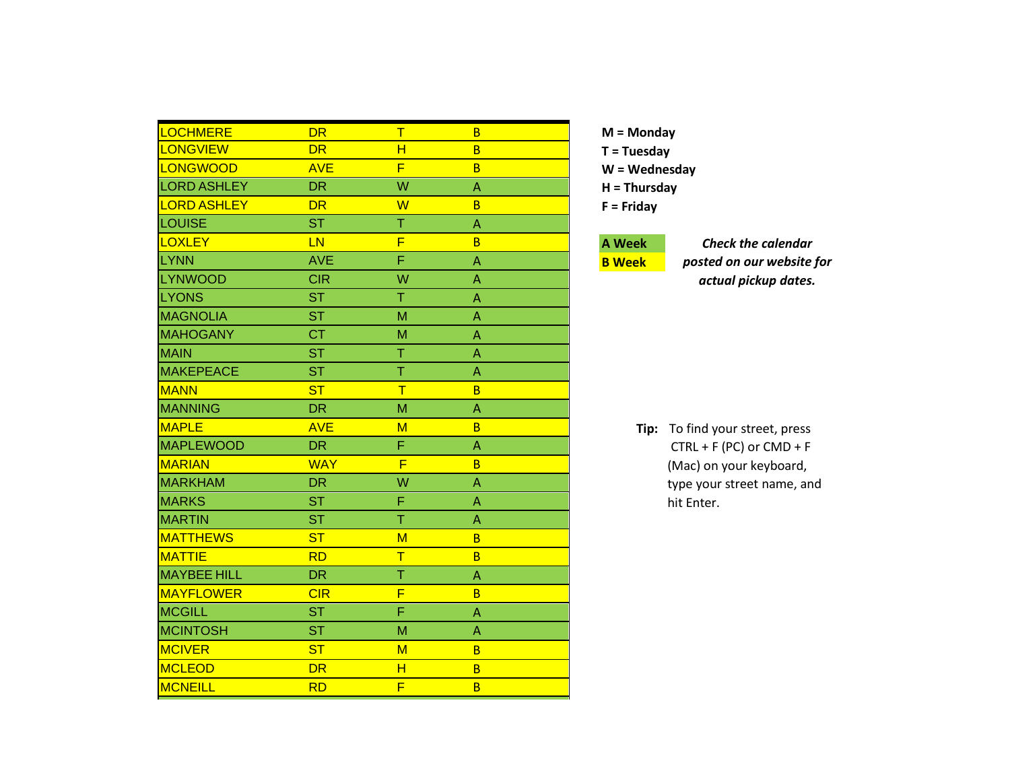| LOCHMERE           | <b>DR</b>      | $\mathsf T$ | B |
|--------------------|----------------|-------------|---|
| <b>LONGVIEW</b>    | <b>DR</b>      | н           | B |
| LONGWOOD           | <b>AVE</b>     | F           | B |
| <b>LORD ASHLEY</b> | <b>DR</b>      | W           | A |
| <b>LORD ASHLEY</b> | <b>DR</b>      | W           | B |
| LOUISE             | <b>ST</b>      | Τ           | Α |
| <b>LOXLEY</b>      | LN             | F           | B |
| <b>LYNN</b>        | <b>AVE</b>     | F           | Α |
| <b>LYNWOOD</b>     | <b>CIR</b>     | W           | A |
| <b>LYONS</b>       | <b>ST</b>      | Τ           | A |
| <b>MAGNOLIA</b>    | <b>ST</b>      | M           | A |
| <b>MAHOGANY</b>    | <b>CT</b>      | M           | Α |
| <b>MAIN</b>        | <b>ST</b>      | Τ           | A |
| <b>MAKEPEACE</b>   | <b>ST</b>      | T           | A |
| <b>MANN</b>        | ST             | Τ           | B |
| <b>MANNING</b>     | <b>DR</b>      | M           | A |
| <b>MAPLE</b>       | <b>AVE</b>     | M           | B |
| <b>MAPLEWOOD</b>   | <b>DR</b>      | F           | Α |
| <b>MARIAN</b>      | <b>WAY</b>     | F           | B |
| <b>MARKHAM</b>     | <b>DR</b>      | W           | A |
| <b>MARKS</b>       | <b>ST</b>      | F           | Α |
| <b>MARTIN</b>      | <b>ST</b>      | Ť           | Α |
| <b>MATTHEWS</b>    | S <sub>T</sub> | M           | B |
| <b>MATTIE</b>      | <b>RD</b>      | T           | B |
| <b>MAYBEE HILL</b> | <b>DR</b>      | T           | Α |
| <b>MAYFLOWER</b>   | CIR            | F           | B |
| <b>MCGILL</b>      | <b>ST</b>      | F           | A |
| <b>MCINTOSH</b>    | <b>ST</b>      | M           | A |
| <b>MCIVER</b>      | <b>ST</b>      | $M$         | B |
| <b>MCLEOD</b>      | <b>DR</b>      | H           | B |
| <b>MCNEILL</b>     | <b>RD</b>      | F           | B |

#### **A Week B Week**

*Check the calendar posted on our website for actual pickup dates.*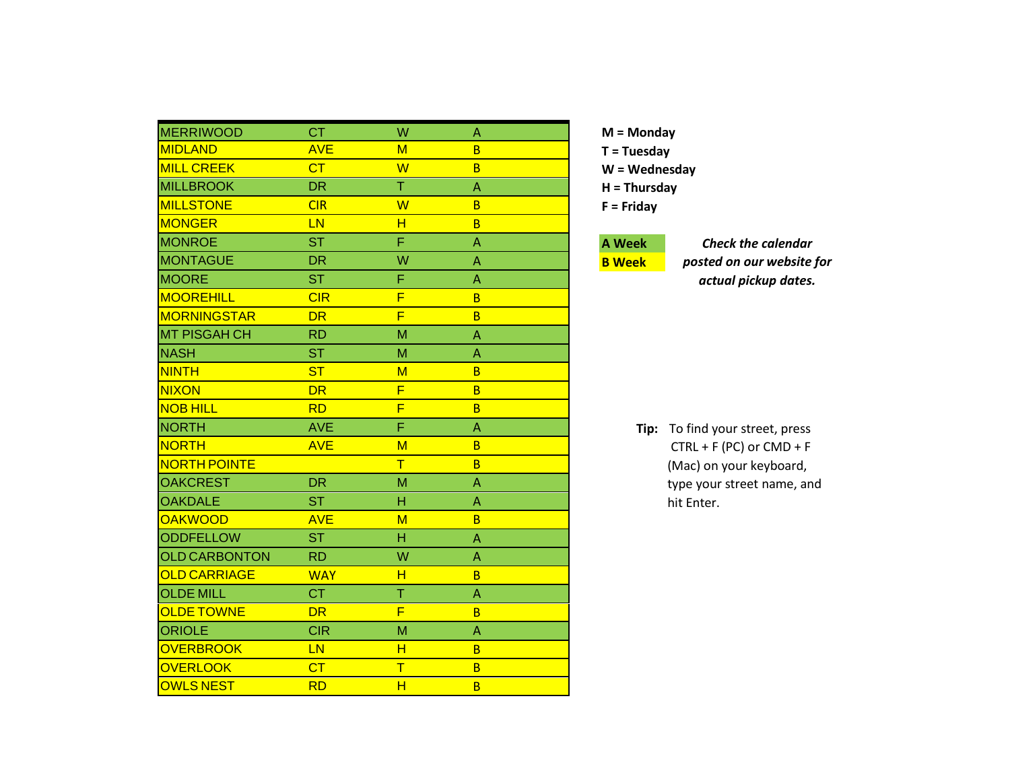| <b>MERRIWOOD</b>     | <b>CT</b>  | W                       | A |  |
|----------------------|------------|-------------------------|---|--|
| <b>MIDLAND</b>       | <b>AVE</b> | M                       | B |  |
| <b>MILL CREEK</b>    | CT         | W                       | B |  |
| <b>MILLBROOK</b>     | <b>DR</b>  | Τ                       | A |  |
| <b>MILLSTONE</b>     | CIR        | $\overline{\mathsf{W}}$ | B |  |
| <b>MONGER</b>        | LN         | н                       | B |  |
| <b>MONROE</b>        | <b>ST</b>  | F                       | Α |  |
| <b>MONTAGUE</b>      | <b>DR</b>  | W                       | Α |  |
| <b>MOORE</b>         | <b>ST</b>  | F                       | Α |  |
| <b>MOOREHILL</b>     | CIR        | F                       | B |  |
| <b>MORNINGSTAR</b>   | <b>DR</b>  | F                       | B |  |
| <b>MT PISGAH CH</b>  | <b>RD</b>  | M                       | A |  |
| <b>NASH</b>          | <b>ST</b>  | M                       | A |  |
| <b>NINTH</b>         | <b>ST</b>  | M                       | B |  |
| <b>NIXON</b>         | <b>DR</b>  | F                       | B |  |
| <b>NOB HILL</b>      | <b>RD</b>  | F                       | B |  |
| <b>NORTH</b>         | <b>AVE</b> | Ë                       | A |  |
| <b>NORTH</b>         | <b>AVE</b> | M                       | B |  |
| <b>NORTH POINTE</b>  |            | $\overline{\mathsf{T}}$ | B |  |
| <b>OAKCREST</b>      | <b>DR</b>  | M                       | Α |  |
| <b>OAKDALE</b>       | <b>ST</b>  | н                       | Α |  |
| <b>OAKWOOD</b>       | <b>AVE</b> | M                       | B |  |
| <b>ODDFELLOW</b>     | <b>ST</b>  | н                       | Α |  |
| <b>OLD CARBONTON</b> | <b>RD</b>  | W                       | Α |  |
| <b>OLD CARRIAGE</b>  | <b>WAY</b> | H                       | B |  |
| <b>OLDE MILL</b>     | <b>CT</b>  | Ť                       | Α |  |
| <b>OLDE TOWNE</b>    | <b>DR</b>  | F                       | B |  |
| <b>ORIOLE</b>        | <b>CIR</b> | M                       | A |  |
| <b>OVERBROOK</b>     | LN         | H                       | B |  |
| <b>OVERLOOK</b>      | CT         | Τ                       | B |  |
| <b>OWLS NEST</b>     | <b>RD</b>  | Ĥ                       | B |  |

## **A Week**

**B Week**

*Check the calendar posted on our website for actual pickup dates.*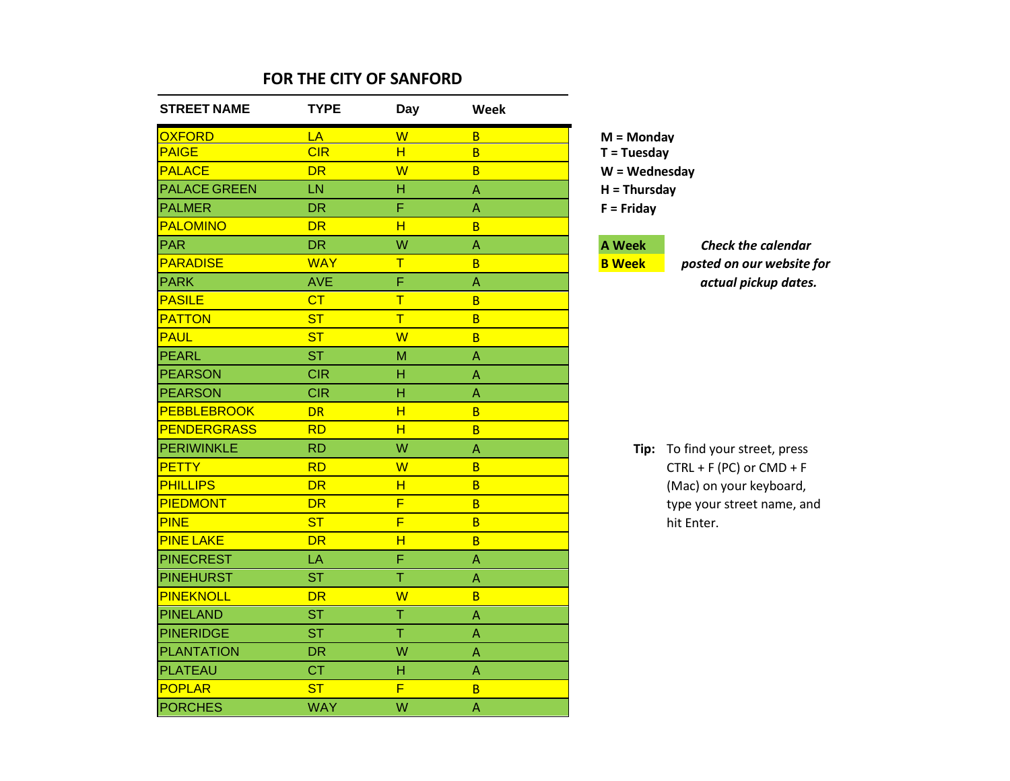| <b>STREET NAME</b>  | <b>TYPE</b> | Day                     | Week                      |                 |                                 |
|---------------------|-------------|-------------------------|---------------------------|-----------------|---------------------------------|
| <b>OXFORD</b>       | LA          | W                       | $\overline{B}$            | $M = Monday$    |                                 |
| <b>PAIGE</b>        | CIR         | H                       | $\overline{B}$            | $T = Tuesday$   |                                 |
| <b>PALACE</b>       | <b>DR</b>   | W                       | $\overline{B}$            | $W = Wednesday$ |                                 |
| <b>PALACE GREEN</b> | LN          | H                       | $\mathsf{A}$              | $H = Thursday$  |                                 |
| <b>PALMER</b>       | <b>DR</b>   | F                       | $\Lambda$                 | $F =$ Friday    |                                 |
| <b>PALOMINO</b>     | <b>DR</b>   | H                       | $\overline{B}$            |                 |                                 |
| <b>PAR</b>          | <b>DR</b>   | W                       | $\overline{A}$            | <b>A</b> Week   | <b>Check the calendar</b>       |
| <b>PARADISE</b>     | <b>WAY</b>  | T                       | $\overline{B}$            | <b>B</b> Week   | posted on our website           |
| <b>PARK</b>         | <b>AVE</b>  | F                       | $\Lambda$                 |                 | actual pickup dates             |
| <b>PASILE</b>       | CT          | $\mathsf T$             | $\overline{B}$            |                 |                                 |
| <b>PATTON</b>       | <b>ST</b>   | $\overline{\mathsf{T}}$ | $\overline{B}$            |                 |                                 |
| <b>PAUL</b>         | <b>ST</b>   | W                       | $\overline{B}$            |                 |                                 |
| PEARL               | <b>ST</b>   | M                       | $\Lambda$                 |                 |                                 |
| <b>PEARSON</b>      | <b>CIR</b>  | н                       | A                         |                 |                                 |
| <b>PEARSON</b>      | <b>CIR</b>  | H                       | $\Lambda$                 |                 |                                 |
| <b>PEBBLEBROOK</b>  | <b>DR</b>   | H                       | $\overline{B}$            |                 |                                 |
| <b>PENDERGRASS</b>  | <b>RD</b>   | H                       | $\overline{B}$            |                 |                                 |
| PERIWINKLE          | <b>RD</b>   | W                       | A                         |                 | Tip: To find your street, press |
| <b>PETTY</b>        | <b>RD</b>   | W                       | $\overline{B}$            |                 | $CTRL + F (PC)$ or $CMD + F$    |
| <b>PHILLIPS</b>     | <b>DR</b>   | H                       | $\overline{B}$            |                 | (Mac) on your keyboard,         |
| <b>PIEDMONT</b>     | <b>DR</b>   | F                       | $\overline{B}$            |                 | type your street name, ar       |
| <b>PINE</b>         | <b>ST</b>   | F                       | $\overline{B}$            |                 | hit Enter.                      |
| <b>PINE LAKE</b>    | <b>DR</b>   | H                       | $\overline{B}$            |                 |                                 |
| <b>PINECREST</b>    | LA          | F                       | $\Lambda$                 |                 |                                 |
| <b>PINEHURST</b>    | <b>ST</b>   | T                       | $\boldsymbol{\mathsf{A}}$ |                 |                                 |
| PINEKNOLL           | <b>DR</b>   | W                       | $\overline{B}$            |                 |                                 |
| PINELAND            | <b>ST</b>   | T                       | $\boldsymbol{\mathsf{A}}$ |                 |                                 |
| <b>PINERIDGE</b>    | <b>ST</b>   | T                       | $\boldsymbol{\mathsf{A}}$ |                 |                                 |
| <b>PLANTATION</b>   | <b>DR</b>   | W                       | $\boldsymbol{\mathsf{A}}$ |                 |                                 |
| <b>PLATEAU</b>      | <b>CT</b>   | Н                       | A                         |                 |                                 |
| <b>POPLAR</b>       | <b>ST</b>   | F                       | $\overline{B}$            |                 |                                 |
| <b>PORCHES</b>      | <b>WAY</b>  | W                       | $\mathsf{A}$              |                 |                                 |

PARADISE WAY T B **B Week** *posted on our website for* PARK AVE F A *actual pickup dates.*

ferimities in the street, press  $P$ ) or  $CMD + F$ bur keyboard, treet name, and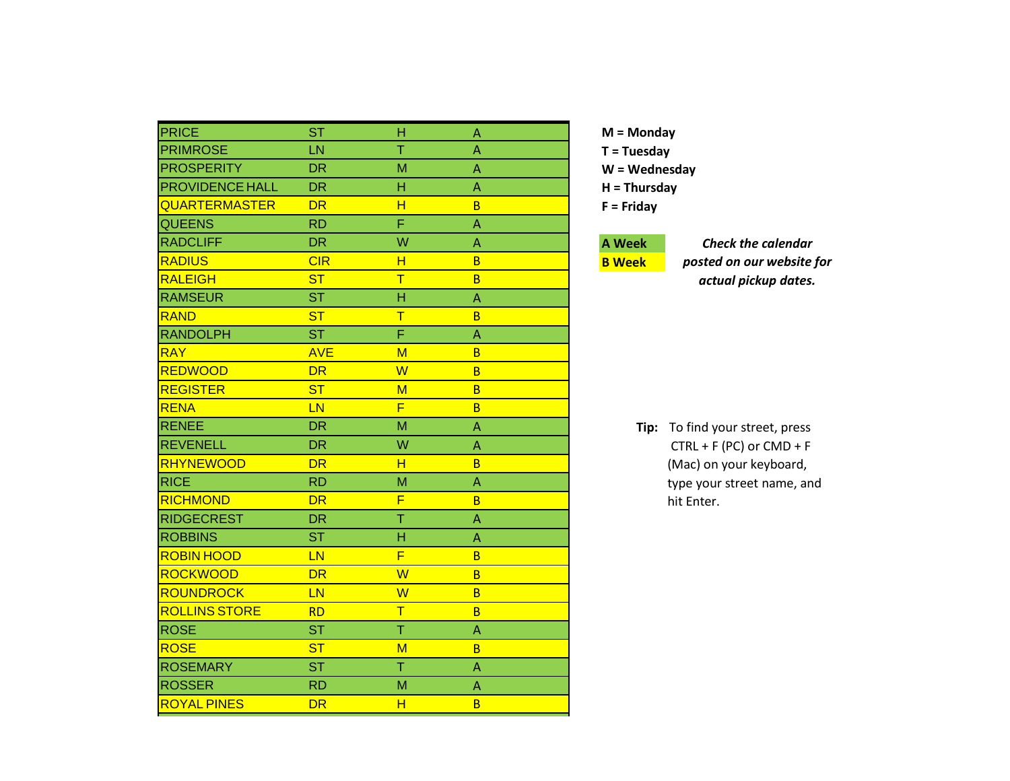| PRICE                  | <b>ST</b>  | н                       | Α            |  |
|------------------------|------------|-------------------------|--------------|--|
| <b>PRIMROSE</b>        | LN         | T                       | A            |  |
| <b>PROSPERITY</b>      | <b>DR</b>  | M                       | A            |  |
| <b>PROVIDENCE HALL</b> | <b>DR</b>  | н                       | A            |  |
| <b>QUARTERMASTER</b>   | <b>DR</b>  | H                       | B            |  |
| <b>QUEENS</b>          | <b>RD</b>  | F                       | A            |  |
| <b>RADCLIFF</b>        | <b>DR</b>  | W                       | A            |  |
| <b>RADIUS</b>          | CIR        | H                       | <sub>B</sub> |  |
| <b>RALEIGH</b>         | <b>ST</b>  | T                       | B            |  |
| <b>RAMSEUR</b>         | <b>ST</b>  | Н                       | Α            |  |
| <b>RAND</b>            | <b>ST</b>  | $\overline{\mathsf{T}}$ | B            |  |
| <b>RANDOLPH</b>        | <b>ST</b>  | Ē                       | Α            |  |
| <b>RAY</b>             | <b>AVE</b> | M                       | <sub>B</sub> |  |
| <b>REDWOOD</b>         | <b>DR</b>  | $\overline{\mathsf{W}}$ | B            |  |
| <b>REGISTER</b>        | <b>ST</b>  | M                       | B            |  |
| <b>RENA</b>            | LN         | F                       | B            |  |
| <b>RENEE</b>           | <b>DR</b>  | M                       | A            |  |
| <b>REVENELL</b>        | <b>DR</b>  | W                       | A            |  |
| <b>RHYNEWOOD</b>       | <b>DR</b>  | н                       | B            |  |
| <b>RICE</b>            | <b>RD</b>  | M                       | A            |  |
| <b>RICHMOND</b>        | <b>DR</b>  | F                       | B            |  |
| <b>RIDGECREST</b>      | <b>DR</b>  | T                       | A            |  |
| <b>ROBBINS</b>         | <b>ST</b>  | H                       | A            |  |
| <b>ROBIN HOOD</b>      | LN         | F                       | B            |  |
| <b>ROCKWOOD</b>        | <b>DR</b>  | W                       | <sub>B</sub> |  |
| <b>ROUNDROCK</b>       | LN         | W                       | B            |  |
| <b>ROLLINS STORE</b>   | <b>RD</b>  | T                       | B            |  |
| <b>ROSE</b>            | <b>ST</b>  | Ŧ                       | A            |  |
| <b>ROSE</b>            | <b>ST</b>  | M                       | B            |  |
| <b>ROSEMARY</b>        | <b>ST</b>  | T                       | A            |  |
| <b>ROSSER</b>          | <b>RD</b>  | M                       | A            |  |
| <b>ROYAL PINES</b>     | <b>DR</b>  | H                       | B            |  |

# **A Week**

**B Week**

*Check the calendar posted on our website for actual pickup dates.*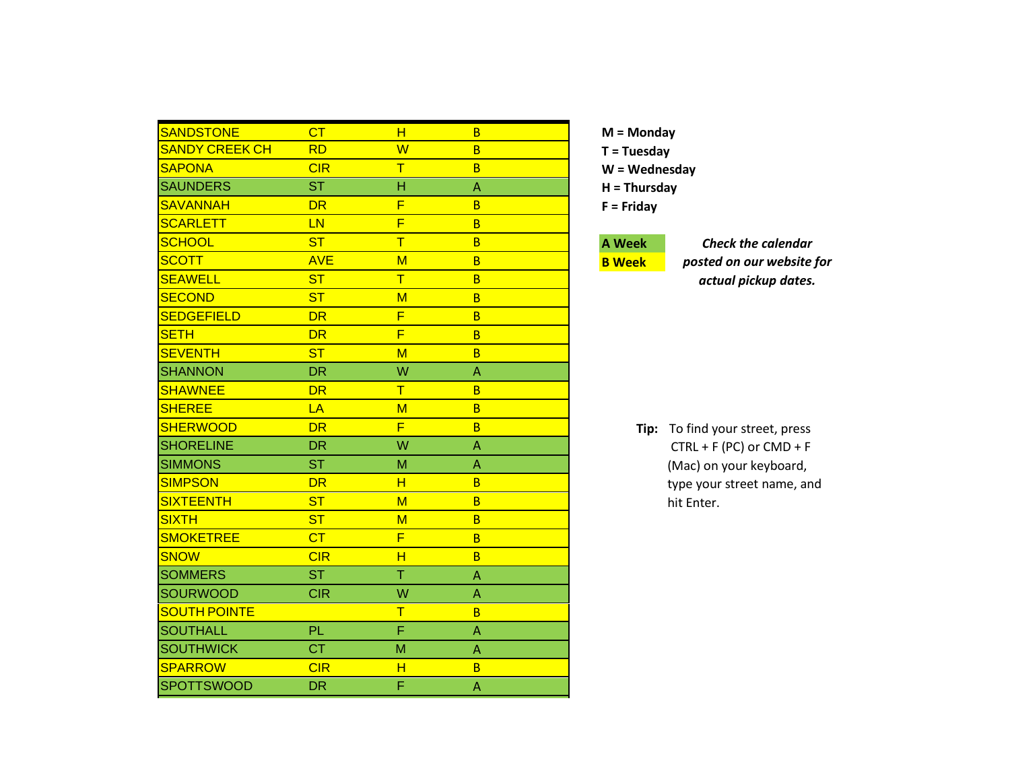| <b>SANDSTONE</b>      | CT         | н | B  |  |
|-----------------------|------------|---|----|--|
| <b>SANDY CREEK CH</b> | <b>RD</b>  | W | B  |  |
| <b>SAPONA</b>         | CIR        | T | B  |  |
| <b>SAUNDERS</b>       | <b>ST</b>  | H | A  |  |
| <b>SAVANNAH</b>       | <b>DR</b>  | F | B  |  |
| <b>SCARLETT</b>       | LN         | F | B  |  |
| <b>SCHOOL</b>         | <b>ST</b>  | T | B  |  |
| <b>SCOTT</b>          | <b>AVE</b> | M | B  |  |
| <b>SEAWELL</b>        | <b>ST</b>  | T | B  |  |
| <b>SECOND</b>         | <b>ST</b>  | M | B  |  |
| <b>SEDGEFIELD</b>     | <b>DR</b>  | F | B  |  |
| <b>SETH</b>           | <b>DR</b>  | F | B  |  |
| <b>SEVENTH</b>        | ST         | M | B  |  |
| <b>SHANNON</b>        | <b>DR</b>  | W | A  |  |
| <b>SHAWNEE</b>        | <b>DR</b>  | Τ | B  |  |
| <b>SHEREE</b>         | LA         | M | B  |  |
| <b>SHERWOOD</b>       | DR         | F | B  |  |
| <b>SHORELINE</b>      | <b>DR</b>  | W | Α  |  |
| <b>SIMMONS</b>        | <b>ST</b>  | M | Α  |  |
| <b>SIMPSON</b>        | <b>DR</b>  | н | B. |  |
| <b>SIXTEENTH</b>      | <b>ST</b>  | M | B  |  |
| <b>SIXTH</b>          | <b>ST</b>  | M | B  |  |
| <b>SMOKETREE</b>      | CT         | F | B  |  |
| <b>SNOW</b>           | CIR        | H | B  |  |
| <b>SOMMERS</b>        | <b>ST</b>  | T | Α  |  |
| <b>SOURWOOD</b>       | <b>CIR</b> | W | Α  |  |
| <b>SOUTH POINTE</b>   |            | T | B  |  |
| <b>SOUTHALL</b>       | PL         | F | A  |  |
| <b>SOUTHWICK</b>      | <b>CT</b>  | M | A  |  |
| <b>SPARROW</b>        | CIR        | н | B  |  |
| <b>SPOTTSWOOD</b>     | DR.        | Ë | A  |  |

#### **A Week B Week**

*Check the calendar posted on our website for actual pickup dates.*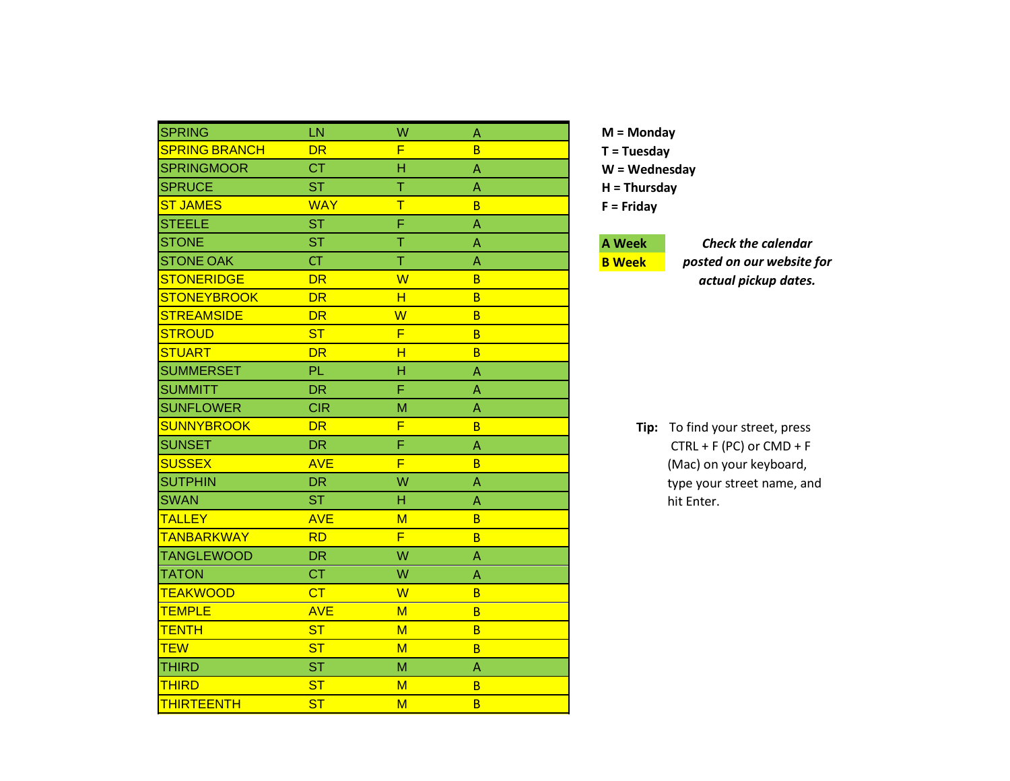| <b>SPRING</b>        | LN         | W                       | A |
|----------------------|------------|-------------------------|---|
| <b>SPRING BRANCH</b> | <b>DR</b>  | F                       | B |
| <b>SPRINGMOOR</b>    | <b>CT</b>  | H                       | Α |
| <b>SPRUCE</b>        | <b>ST</b>  | Ť                       | Α |
| <b>ST JAMES</b>      | <b>WAY</b> | $\overline{\mathsf{T}}$ | B |
| <b>STEELE</b>        | <b>ST</b>  | Ë                       | Α |
| <b>STONE</b>         | <b>ST</b>  | T                       | Α |
| <b>STONE OAK</b>     | <b>CT</b>  | T                       | Α |
| <b>STONERIDGE</b>    | <b>DR</b>  | W                       | B |
| <b>STONEYBROOK</b>   | <b>DR</b>  | н                       | B |
| <b>STREAMSIDE</b>    | DR         | $\overline{\mathsf{W}}$ | B |
| <b>STROUD</b>        | <b>ST</b>  | F                       | B |
| <b>STUART</b>        | <b>DR</b>  | H                       | B |
| <b>SUMMERSET</b>     | <b>PL</b>  | H                       | Α |
| <b>SUMMITT</b>       | <b>DR</b>  | F                       | Α |
| <b>SUNFLOWER</b>     | <b>CIR</b> | М                       | Α |
| <b>SUNNYBROOK</b>    | <b>DR</b>  | F                       | B |
| <b>SUNSET</b>        | <b>DR</b>  | F                       | A |
| <b>SUSSEX</b>        | <b>AVE</b> | F                       | B |
| <b>SUTPHIN</b>       | <b>DR</b>  | W                       | Α |
| <b>SWAN</b>          | <b>ST</b>  | H                       | A |
| <b>TALLEY</b>        | <b>AVE</b> | M                       | B |
| <b>TANBARKWAY</b>    | <b>RD</b>  | F                       | B |
| <b>TANGLEWOOD</b>    | <b>DR</b>  | W                       | A |
| <b>TATON</b>         | <b>CT</b>  | W                       | Α |
| <b>TEAKWOOD</b>      | CT         | W                       | B |
| <b>TEMPLE</b>        | <b>AVE</b> | M                       | B |
| <b>TENTH</b>         | <b>ST</b>  | M                       | B |
| <b>TEW</b>           | <b>ST</b>  | M                       | B |
| <b>THIRD</b>         | <b>ST</b>  | M                       | A |
| <b>THIRD</b>         | <b>ST</b>  | M                       | B |
| <b>THIRTEENTH</b>    | <b>ST</b>  | M                       | B |

# **A Week**

**B Week**

*Check the calendar posted on our website for actual pickup dates.*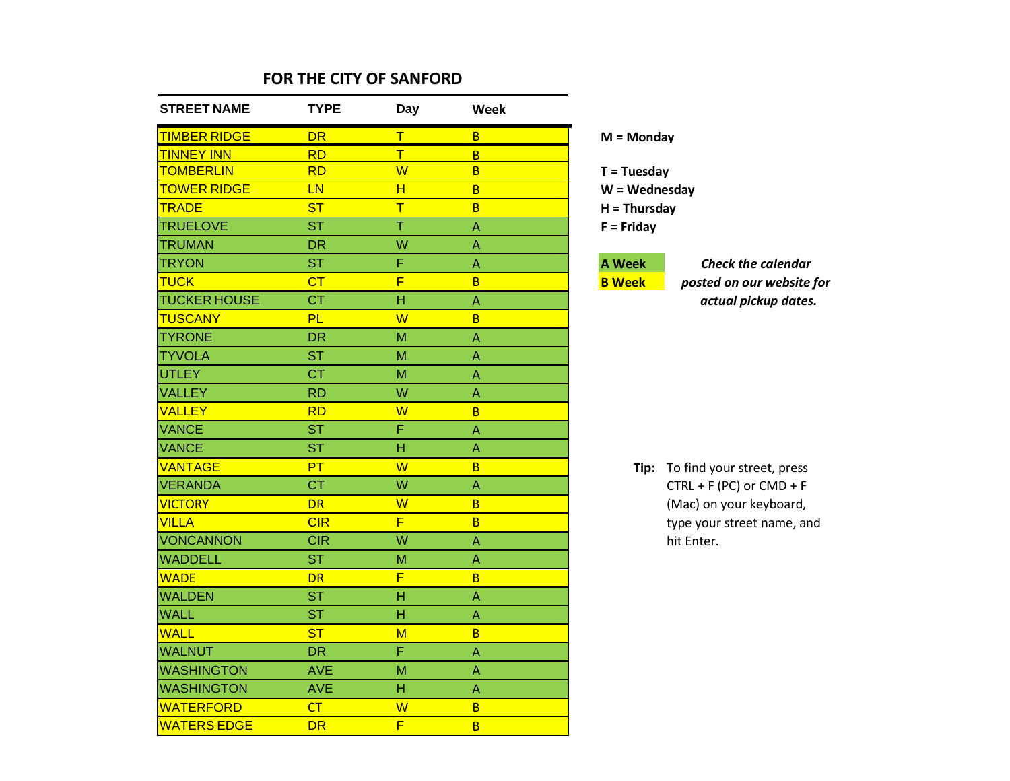| <b>STREET NAME</b>  | <b>TYPE</b> | Day                     | Week                            |                         |
|---------------------|-------------|-------------------------|---------------------------------|-------------------------|
| <b>TIMBER RIDGE</b> | <b>DR</b>   | Τ                       | B                               | $M =$ Monday            |
| <b>TINNEY INN</b>   | <b>RD</b>   | T                       | B                               |                         |
| <b>TOMBERLIN</b>    | <b>RD</b>   | $\overline{\mathsf{W}}$ | B                               | $T = Tuesday$           |
| <b>TOWER RIDGE</b>  | <b>LN</b>   | H                       | B                               | $W = Wednesday$         |
| <b>TRADE</b>        | <b>ST</b>   | $\overline{\mathsf{T}}$ | B                               | $H = Thursday$          |
| <b>TRUELOVE</b>     | <b>ST</b>   | $\overline{\mathsf{T}}$ | A                               | $F =$ Friday            |
| <b>TRUMAN</b>       | <b>DR</b>   | W                       | A                               |                         |
| <b>TRYON</b>        | <b>ST</b>   | F                       | A                               | <b>A Week</b><br>Che    |
| <b>TUCK</b>         | CT          | $\overline{\mathsf{F}}$ | B                               | <b>B</b> Week<br>postea |
| <b>TUCKER HOUSE</b> | <b>CT</b>   | H                       | $\boldsymbol{\mathsf{\Lambda}}$ | act                     |
| <b>TUSCANY</b>      | <b>PL</b>   | W                       | B                               |                         |
| <b>TYRONE</b>       | <b>DR</b>   | M                       | A                               |                         |
| <b>TYVOLA</b>       | <b>ST</b>   | M                       | Α                               |                         |
| <b>UTLEY</b>        | <b>CT</b>   | M                       | Α                               |                         |
| <b>VALLEY</b>       | <b>RD</b>   | W                       | A                               |                         |
| <b>VALLEY</b>       | <b>RD</b>   | W                       | B                               |                         |
| <b>VANCE</b>        | <b>ST</b>   | F                       | A                               |                         |
| <b>VANCE</b>        | <b>ST</b>   | H                       | A                               |                         |
| <b>VANTAGE</b>      | PT          | W                       | B                               | Tip: To find yo         |
| <b>VERANDA</b>      | <b>CT</b>   | W                       | A                               | $CTRL + F$              |
| <b>VICTORY</b>      | <b>DR</b>   | W                       | $\overline{B}$                  | (Mac) on                |
| <b>VILLA</b>        | CIR         | F                       | $\overline{B}$                  | type your               |
| <b>VONCANNON</b>    | <b>CIR</b>  | W                       | A                               | hit Enter.              |
| <b>WADDELL</b>      | <b>ST</b>   | M                       | Α                               |                         |
| <b>WADE</b>         | <b>DR</b>   | F                       | B                               |                         |
| <b>WALDEN</b>       | <b>ST</b>   | H                       | $\overline{A}$                  |                         |
| <b>WALL</b>         | <b>ST</b>   | H                       | A                               |                         |
| <b>WALL</b>         | <b>ST</b>   | $M$                     | B                               |                         |
| <b>WALNUT</b>       | <b>DR</b>   | F                       | A                               |                         |
| <b>WASHINGTON</b>   | <b>AVE</b>  | M                       | Α                               |                         |
| <b>WASHINGTON</b>   | <b>AVE</b>  | H                       | A                               |                         |
| <b>WATERFORD</b>    | CT          | W                       | $\overline{B}$                  |                         |
| <b>WATERS EDGE</b>  | <b>DR</b>   | F                       | B                               |                         |

**Check the calendar** 

 $posted$  *on our website for* actual pickup dates.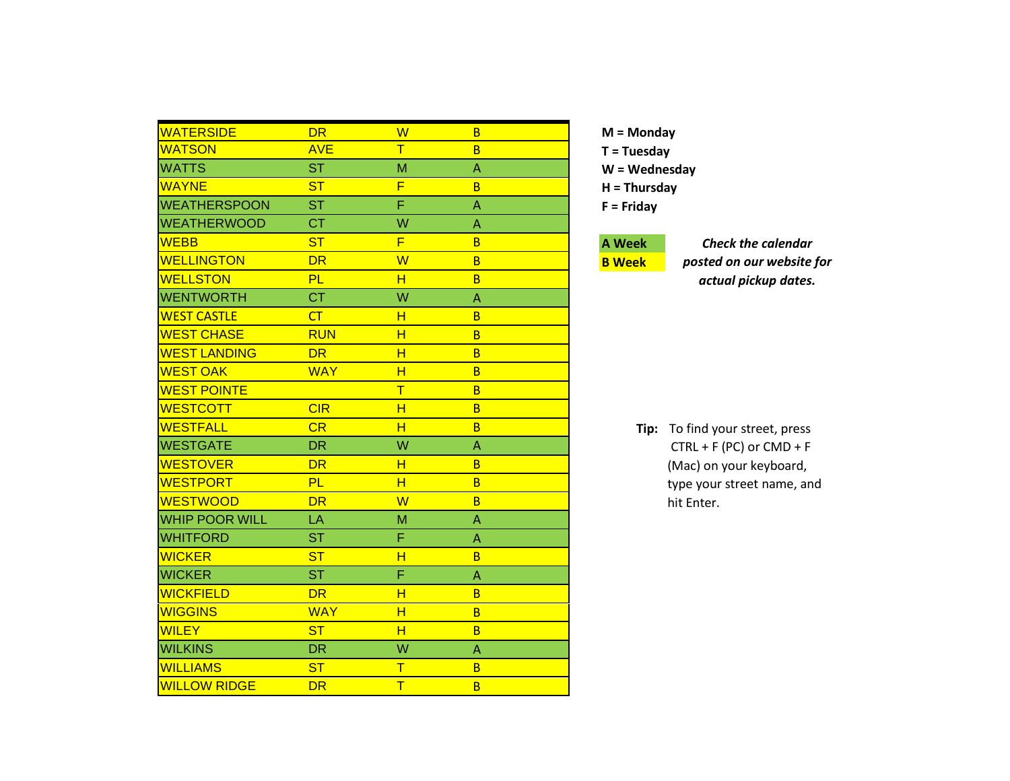| <b>WATERSIDE</b>      | DR         | W      | B |  |
|-----------------------|------------|--------|---|--|
| <b>WATSON</b>         | <b>AVE</b> | $\top$ | B |  |
| <b>WATTS</b>          | <b>ST</b>  | M      | Α |  |
| <b>WAYNE</b>          | <b>ST</b>  | F      | B |  |
| <b>WEATHERSPOON</b>   | <b>ST</b>  | F      | A |  |
| <b>WEATHERWOOD</b>    | <b>CT</b>  | W      | A |  |
| <b>WEBB</b>           | <b>ST</b>  | F      | B |  |
| <b>WELLINGTON</b>     | <b>DR</b>  | W      | B |  |
| <b>WELLSTON</b>       | PL         | н      | B |  |
| <b>WENTWORTH</b>      | <b>CT</b>  | W      | A |  |
| <b>WEST CASTLE</b>    | CT         | н      | B |  |
| <b>WEST CHASE</b>     | <b>RUN</b> | н      | B |  |
| <b>WEST LANDING</b>   | <b>DR</b>  | н      | B |  |
| <b>WEST OAK</b>       | <b>WAY</b> | H      | B |  |
| <b>WEST POINTE</b>    |            | T      | B |  |
| <b>WESTCOTT</b>       | CIR        | н      | B |  |
| <b>WESTFALL</b>       | CR         | H      | B |  |
| <b>WESTGATE</b>       | <b>DR</b>  | W      | Α |  |
| <b>WESTOVER</b>       | <b>DR</b>  | H      | B |  |
| <b>WESTPORT</b>       | <b>PL</b>  | H      | B |  |
| <b>WESTWOOD</b>       | <b>DR</b>  | W      | B |  |
| <b>WHIP POOR WILL</b> | LA         | М      | A |  |
| <b>WHITFORD</b>       | <b>ST</b>  | F      | A |  |
| <b>WICKER</b>         | <b>ST</b>  | H      | B |  |
| <b>WICKER</b>         | <b>ST</b>  | F      | A |  |
| <b>WICKFIELD</b>      | <b>DR</b>  | H      | B |  |
| <b>WIGGINS</b>        | <b>WAY</b> | H      | B |  |
| <b>WILEY</b>          | <b>ST</b>  | н      | B |  |
| <b>WILKINS</b>        | <b>DR</b>  | W      | A |  |
| <b>WILLIAMS</b>       | <b>ST</b>  | т      | B |  |
| <b>WILLOW RIDGE</b>   | <b>DR</b>  | T      | B |  |

# **A Week**

**B Week**

*Check the calendar posted on our website for actual pickup dates.*